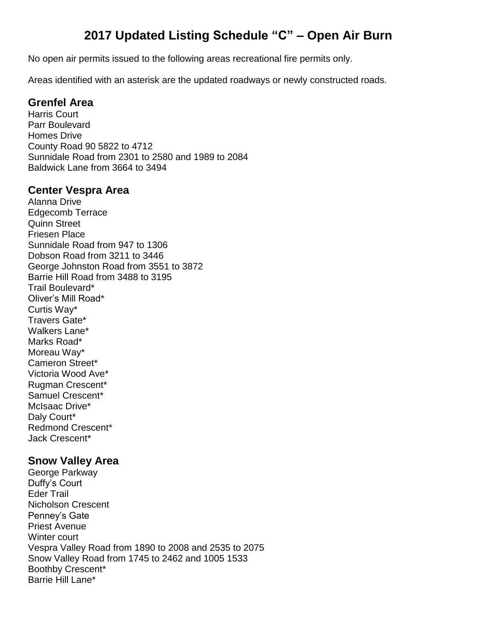# **2017 Updated Listing Schedule "C" – Open Air Burn**

No open air permits issued to the following areas recreational fire permits only.

Areas identified with an asterisk are the updated roadways or newly constructed roads.

#### **Grenfel Area**

Harris Court Parr Boulevard Homes Drive County Road 90 5822 to 4712 Sunnidale Road from 2301 to 2580 and 1989 to 2084 Baldwick Lane from 3664 to 3494

#### **Center Vespra Area**

Alanna Drive Edgecomb Terrace Quinn Street Friesen Place Sunnidale Road from 947 to 1306 Dobson Road from 3211 to 3446 George Johnston Road from 3551 to 3872 Barrie Hill Road from 3488 to 3195 Trail Boulevard\* Oliver's Mill Road\* Curtis Way\* Travers Gate\* Walkers Lane\* Marks Road\* Moreau Way\* Cameron Street\* Victoria Wood Ave\* Rugman Crescent\* Samuel Crescent\* McIsaac Drive\* Daly Court\* Redmond Crescent\* Jack Crescent\*

#### **Snow Valley Area**

George Parkway Duffy's Court Eder Trail Nicholson Crescent Penney's Gate Priest Avenue Winter court Vespra Valley Road from 1890 to 2008 and 2535 to 2075 Snow Valley Road from 1745 to 2462 and 1005 1533 Boothby Crescent\* Barrie Hill Lane\*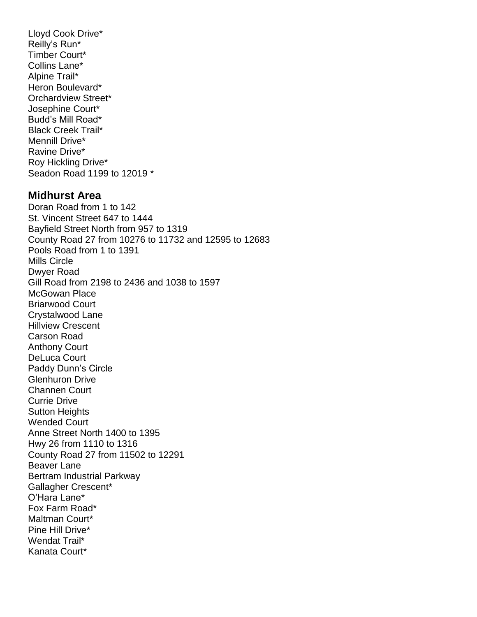Lloyd Cook Drive\* Reilly's Run\* Timber Court\* Collins Lane\* Alpine Trail\* Heron Boulevard\* Orchardview Street\* Josephine Court\* Budd's Mill Road\* Black Creek Trail\* Mennill Drive\* Ravine Drive\* Roy Hickling Drive\* Seadon Road 1199 to 12019 \*

#### **Midhurst Area**

Doran Road from 1 to 142 St. Vincent Street 647 to 1444 Bayfield Street North from 957 to 1319 County Road 27 from 10276 to 11732 and 12595 to 12683 Pools Road from 1 to 1391 Mills Circle Dwyer Road Gill Road from 2198 to 2436 and 1038 to 1597 McGowan Place Briarwood Court Crystalwood Lane Hillview Crescent Carson Road Anthony Court DeLuca Court Paddy Dunn's Circle Glenhuron Drive Channen Court Currie Drive Sutton Heights Wended Court Anne Street North 1400 to 1395 Hwy 26 from 1110 to 1316 County Road 27 from 11502 to 12291 Beaver Lane Bertram Industrial Parkway Gallagher Crescent\* O'Hara Lane\* Fox Farm Road\* Maltman Court\* Pine Hill Drive\* Wendat Trail\* Kanata Court\*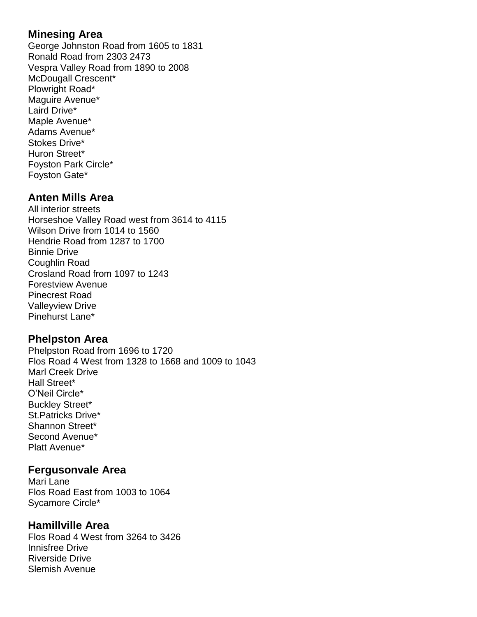#### **Minesing Area**

George Johnston Road from 1605 to 1831 Ronald Road from 2303 2473 Vespra Valley Road from 1890 to 2008 McDougall Crescent\* Plowright Road\* Maguire Avenue\* Laird Drive\* Maple Avenue\* Adams Avenue\* Stokes Drive\* Huron Street\* Foyston Park Circle\* Foyston Gate\*

#### **Anten Mills Area**

All interior streets Horseshoe Valley Road west from 3614 to 4115 Wilson Drive from 1014 to 1560 Hendrie Road from 1287 to 1700 Binnie Drive Coughlin Road Crosland Road from 1097 to 1243 Forestview Avenue Pinecrest Road Valleyview Drive Pinehurst Lane\*

### **Phelpston Area**

Phelpston Road from 1696 to 1720 Flos Road 4 West from 1328 to 1668 and 1009 to 1043 Marl Creek Drive Hall Street\* O'Neil Circle\* Buckley Street\* St.Patricks Drive\* Shannon Street\* Second Avenue\* Platt Avenue\*

### **Fergusonvale Area**

Mari Lane Flos Road East from 1003 to 1064 Sycamore Circle\*

### **Hamillville Area**

Flos Road 4 West from 3264 to 3426 Innisfree Drive Riverside Drive Slemish Avenue